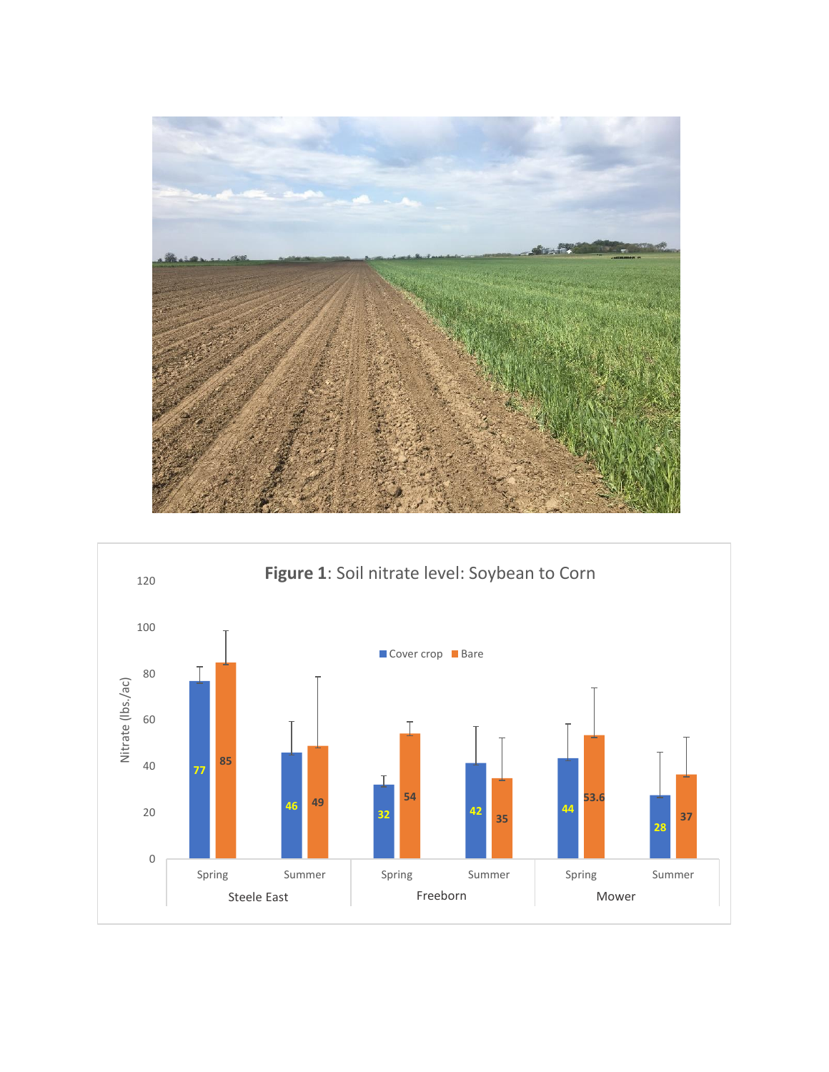

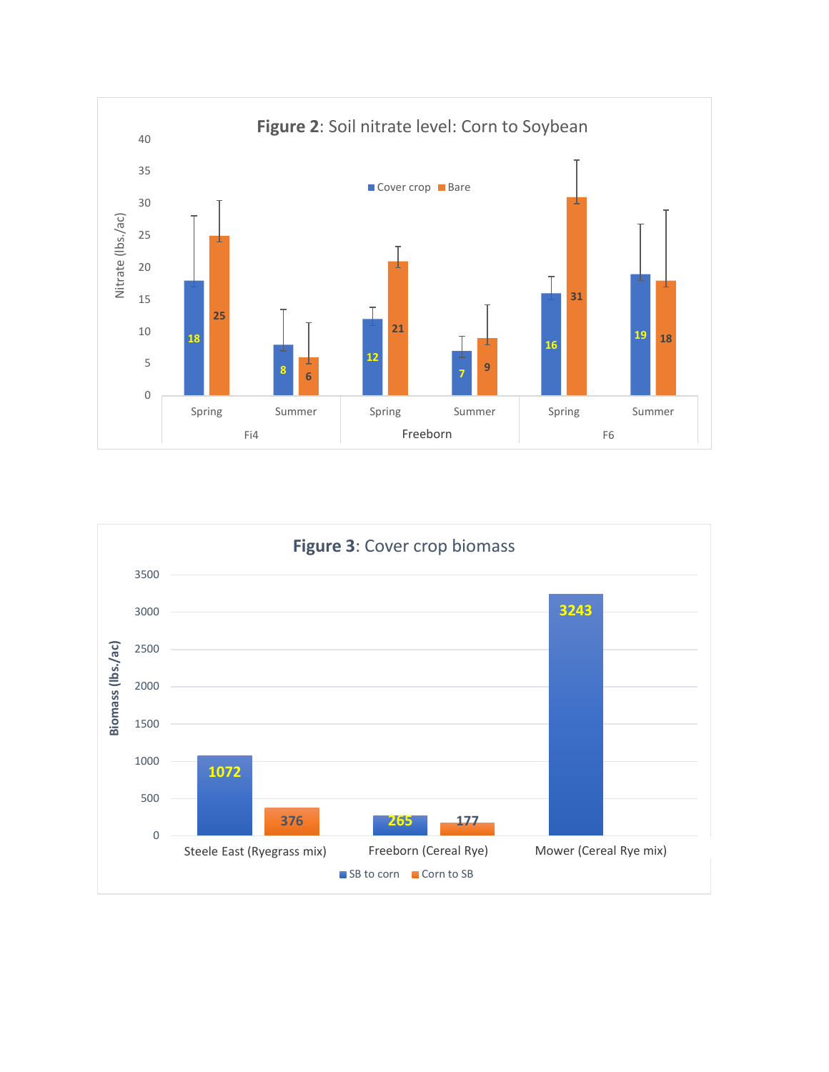

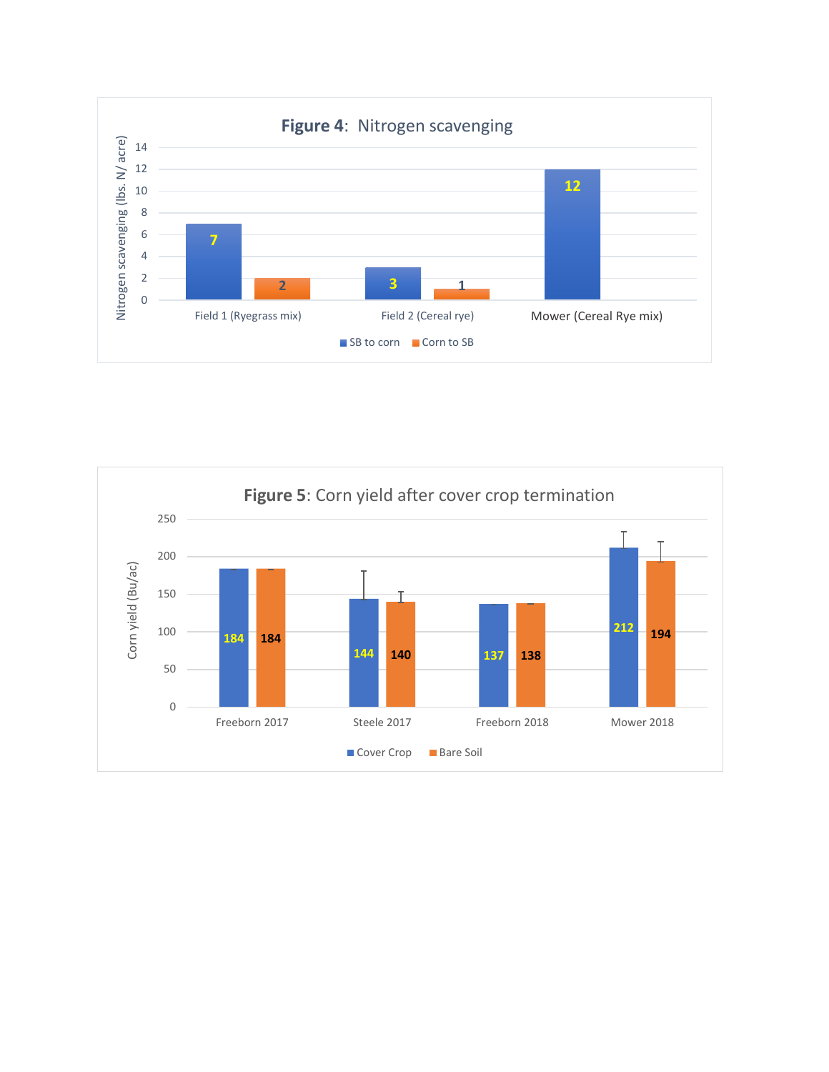

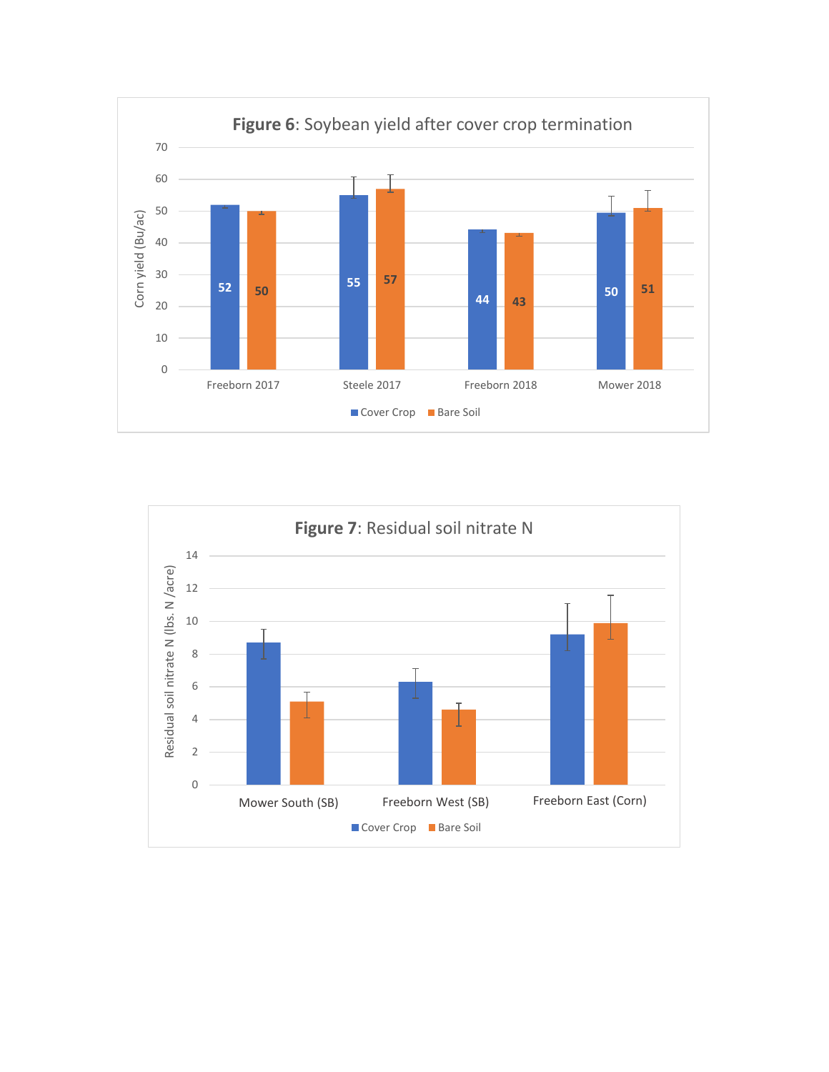

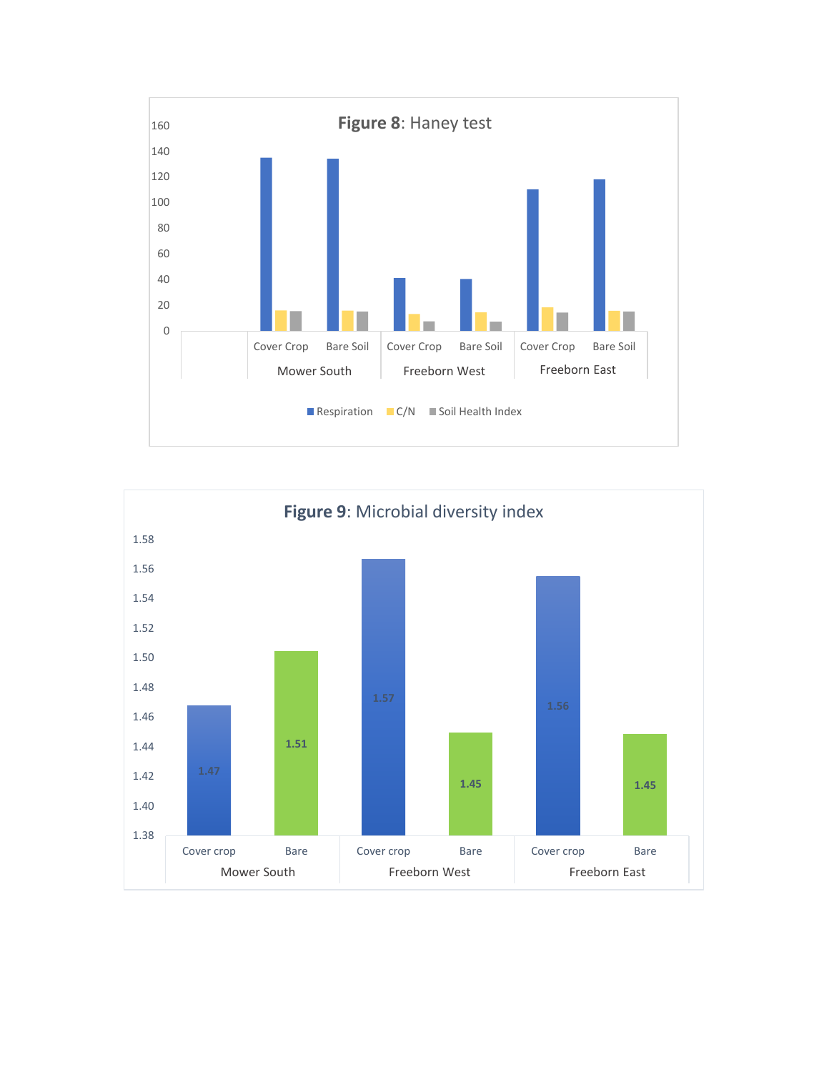

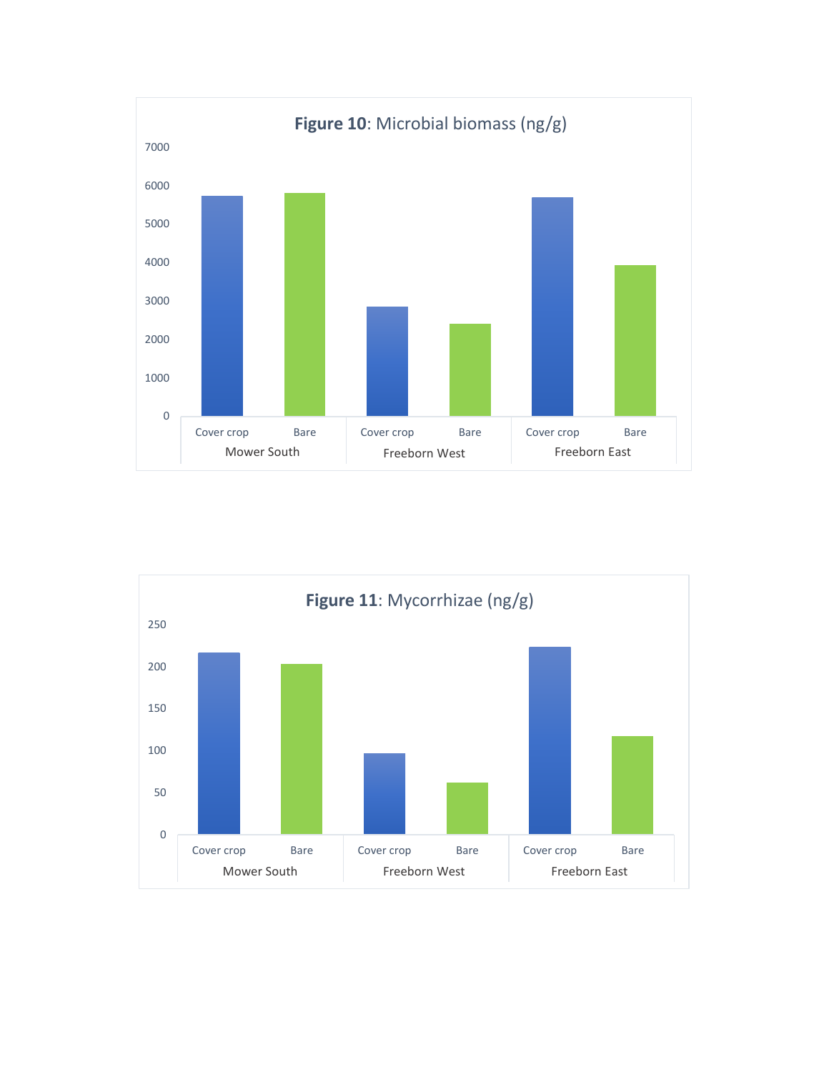

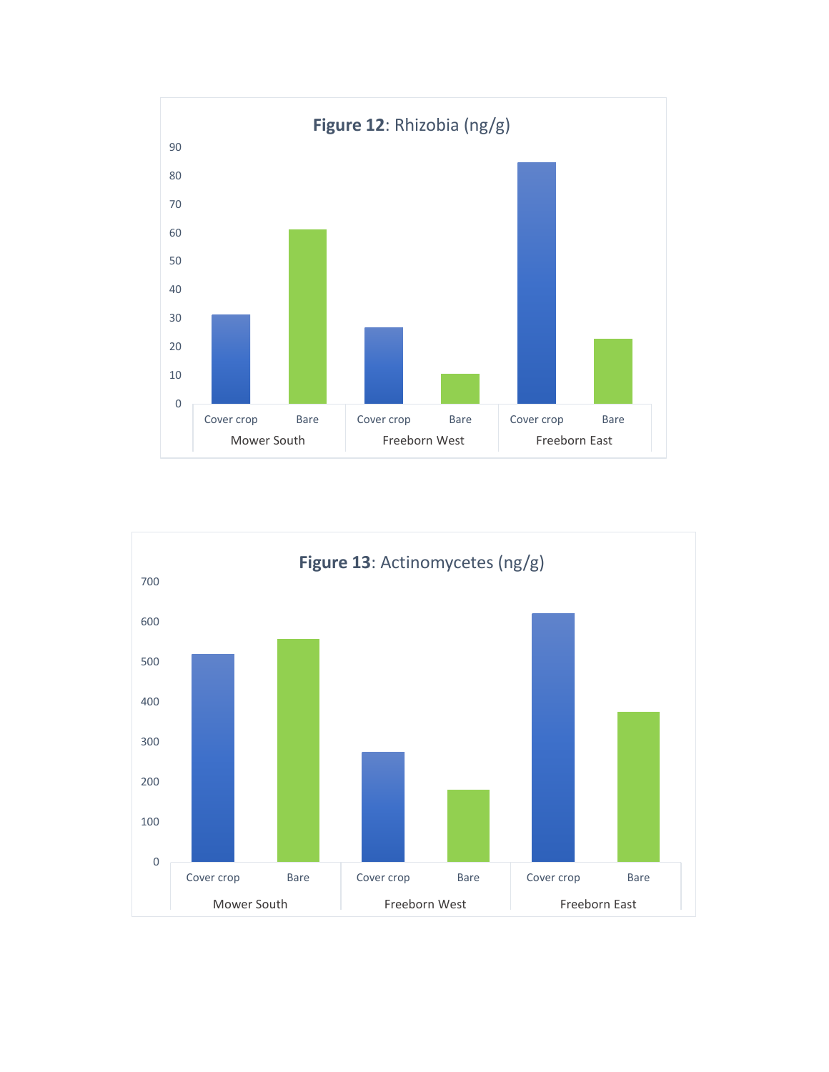

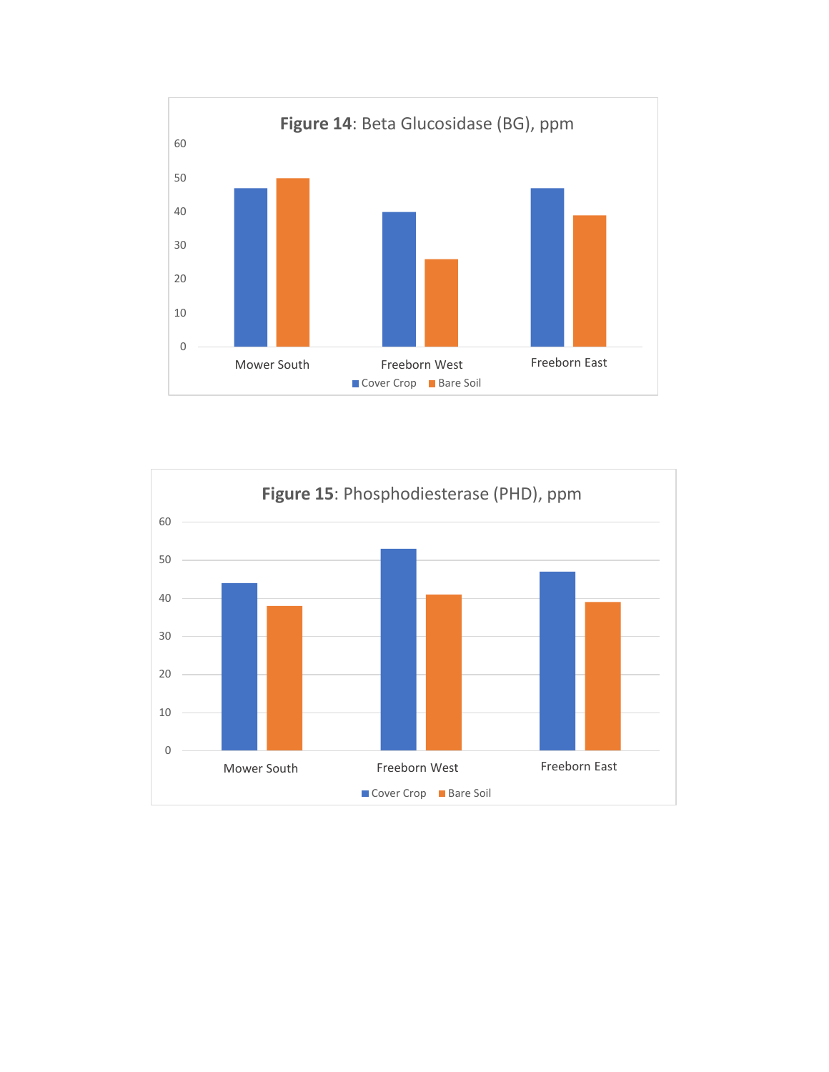